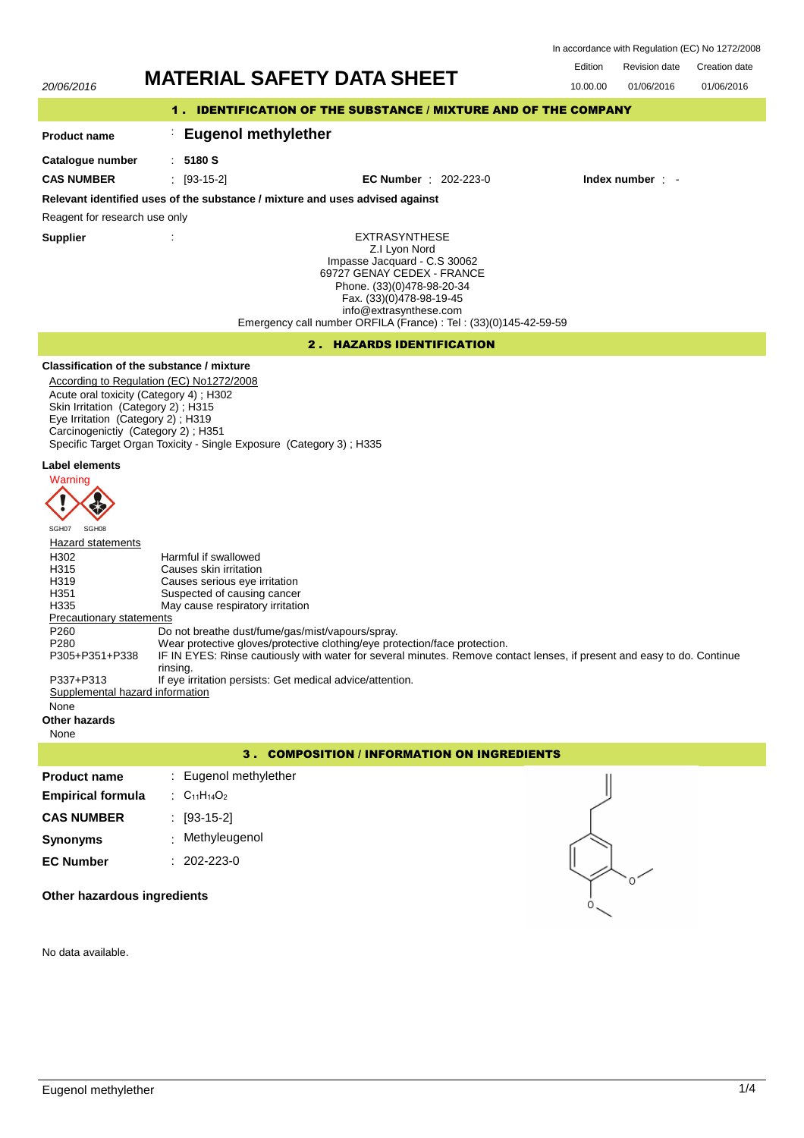Revision date Edition Revision date Creation date In accordance with Regulation (EC) No 1272/2008

01/06/2016

# 20/06/2016 **MATERIAL SAFETY DATA SHEET** 10.00.00 01/06/2016

# 1 . IDENTIFICATION OF THE SUBSTANCE / MIXTURE AND OF THE COMPANY

# : **Eugenol methylether**

**Catalogue number**

**Product name**

: **5180 S**

**CAS NUMBER** : [93-15-2] **EC Number** : 202-223-0 **Index number** : -

# **Relevant identified uses of the substance / mixture and uses advised against**

Reagent for research use only

**Supplier** :

EXTRASYNTHESE Z.I Lyon Nord Impasse Jacquard - C.S 30062 69727 GENAY CEDEX - FRANCE Phone. (33)(0)478-98-20-34 Fax. (33)(0)478-98-19-45 info@extrasynthese.com Emergency call number ORFILA (France) : Tel : (33)(0)145-42-59-59

# 2 . HAZARDS IDENTIFICATION

# **Classification of the substance / mixture**

According to Regulation (EC) No1272/2008 Acute oral toxicity (Category 4) ; H302 Skin Irritation (Category 2); H315 Eye Irritation (Category 2) ; H319 Carcinogenictiy (Category 2) ; H351 Specific Target Organ Toxicity - Single Exposure (Category 3) ; H335

# **Label elements**



#### Hazard statements H<sub>302</sub> Harmful if swallowed<br>H<sub>315</sub> Harmful if swallowed H315 Causes skin irritation<br>
H319 Causes serious eve i H319 Causes serious eye irritation<br>H351 Suspected of causing cancer Suspected of causing cancer H335 May cause respiratory irritation Precautionary statements P260 Do not breathe dust/fume/gas/mist/vapours/spray.<br>P280 Wear protective gloves/protective clothing/eye pro Wear protective gloves/protective clothing/eye protection/face protection. IF IN EYES: Rinse cautiously with water for several minutes. Remove contact lenses, if present and easy to do. Continue rinsing. P305+P351+P338 P337+P313 If eye irritation persists: Get medical advice/attention. Supplemental hazard information None **Other hazards**

None

# 3 . COMPOSITION / INFORMATION ON INGREDIENTS

| <b>Product name</b>      | : Eugenol methylether |
|--------------------------|-----------------------|
| <b>Empirical formula</b> | : $C_{11}H_{14}O_2$   |
| <b>CAS NUMBER</b>        | : [93-15-2]           |
| Synonyms                 | : Methyleugenol       |
| <b>EC Number</b>         | $: 202 - 223 - 0$     |
|                          |                       |



**Other hazardous ingredients**

No data available.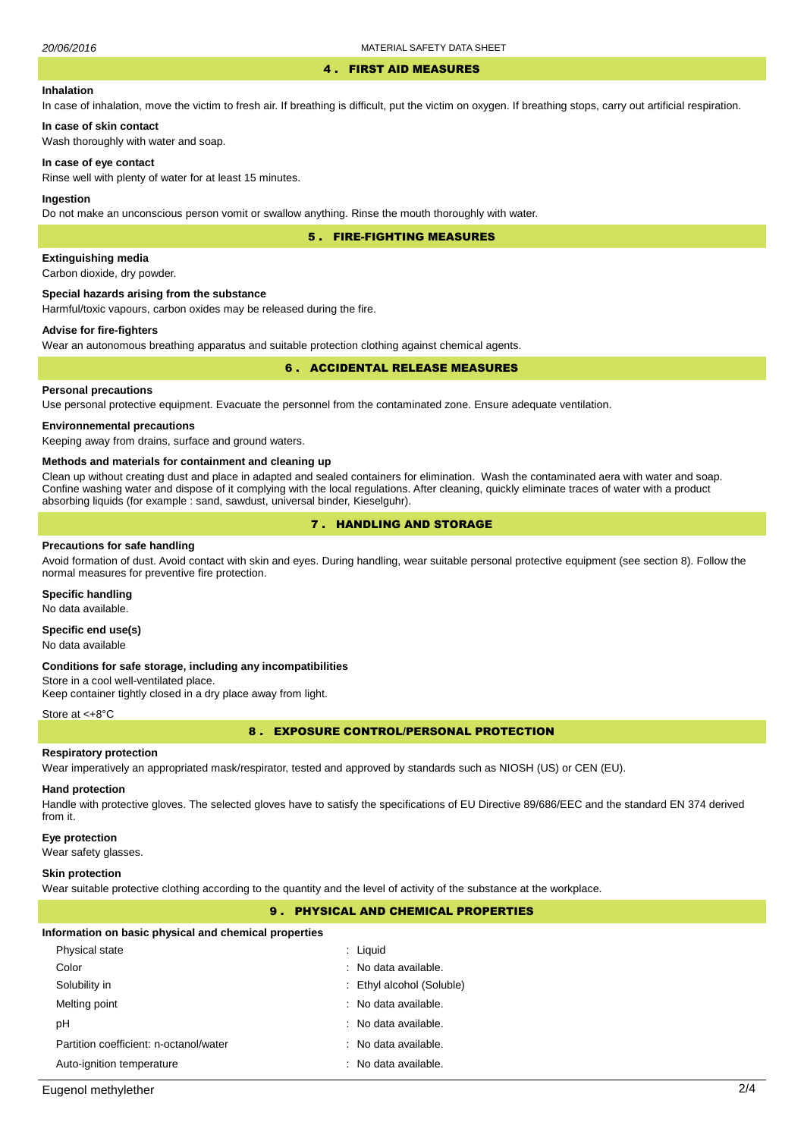#### 4 . FIRST AID MEASURES

#### **Inhalation**

In case of inhalation, move the victim to fresh air. If breathing is difficult, put the victim on oxygen. If breathing stops, carry out artificial respiration.

**In case of skin contact** Wash thoroughly with water and soap.

#### **In case of eye contact**

Rinse well with plenty of water for at least 15 minutes.

#### **Ingestion**

Do not make an unconscious person vomit or swallow anything. Rinse the mouth thoroughly with water.

5 . FIRE-FIGHTING MEASURES

## **Extinguishing media**

Carbon dioxide, dry powder.

#### **Special hazards arising from the substance**

Harmful/toxic vapours, carbon oxides may be released during the fire.

# **Advise for fire-fighters**

Wear an autonomous breathing apparatus and suitable protection clothing against chemical agents.

### 6 . ACCIDENTAL RELEASE MEASURES

# **Personal precautions**

Use personal protective equipment. Evacuate the personnel from the contaminated zone. Ensure adequate ventilation.

#### **Environnemental precautions**

Keeping away from drains, surface and ground waters.

#### **Methods and materials for containment and cleaning up**

Clean up without creating dust and place in adapted and sealed containers for elimination. Wash the contaminated aera with water and soap. Confine washing water and dispose of it complying with the local regulations. After cleaning, quickly eliminate traces of water with a product absorbing liquids (for example : sand, sawdust, universal binder, Kieselguhr).

# 7 . HANDLING AND STORAGE

#### **Precautions for safe handling**

Avoid formation of dust. Avoid contact with skin and eyes. During handling, wear suitable personal protective equipment (see section 8). Follow the normal measures for preventive fire protection.

#### **Specific handling**

No data available.

# **Specific end use(s)**

No data available

#### **Conditions for safe storage, including any incompatibilities**

Store in a cool well-ventilated place. Keep container tightly closed in a dry place away from light.

#### Store at <+8°C

8 . EXPOSURE CONTROL/PERSONAL PROTECTION

#### **Respiratory protection**

Wear imperatively an appropriated mask/respirator, tested and approved by standards such as NIOSH (US) or CEN (EU).

#### **Hand protection**

Handle with protective gloves. The selected gloves have to satisfy the specifications of EU Directive 89/686/EEC and the standard EN 374 derived from it.

#### **Eye protection**

Wear safety glasses.

#### **Skin protection**

Wear suitable protective clothing according to the quantity and the level of activity of the substance at the workplace.

# 9 . PHYSICAL AND CHEMICAL PROPERTIES

#### **Information on basic physical and chemical properties**

| Physical state                         | : Liguid                  |
|----------------------------------------|---------------------------|
| Color                                  | : No data available.      |
| Solubility in                          | : Ethyl alcohol (Soluble) |
| Melting point                          | : No data available.      |
| рH                                     | : No data available.      |
| Partition coefficient: n-octanol/water | : No data available.      |
| Auto-ignition temperature              | : No data available.      |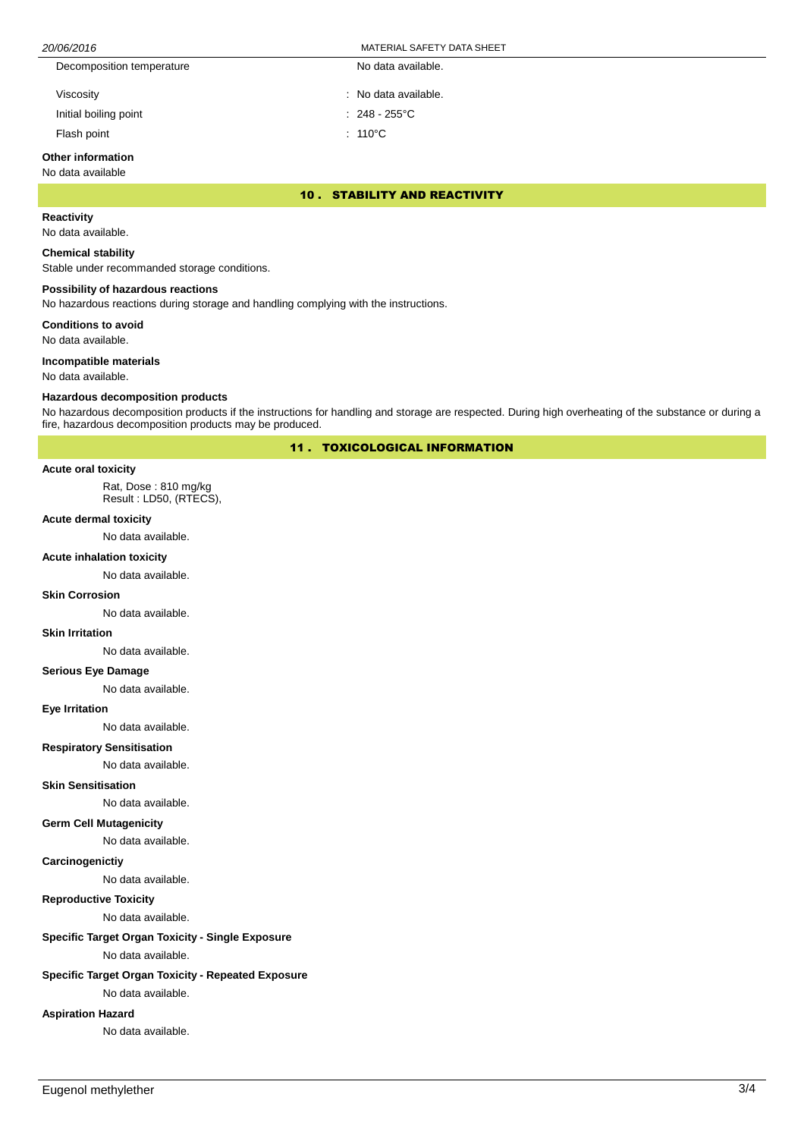| 20/06/2016 |                           | MATERIAL SAFETY DATA SHEET |
|------------|---------------------------|----------------------------|
|            | Decomposition temperature | No data available.         |
|            | Viscosity                 | : No data available.       |
|            | Initial boiling point     | $: 248 - 255^{\circ}$ C    |

Flash point : 110°C

# **Other information**

### No data available

10 . STABILITY AND REACTIVITY

# **Reactivity**

No data available.

### **Chemical stability**

Stable under recommanded storage conditions.

## **Possibility of hazardous reactions**

No hazardous reactions during storage and handling complying with the instructions.

**Conditions to avoid**

No data available.

#### **Incompatible materials**

No data available.

#### **Hazardous decomposition products**

No hazardous decomposition products if the instructions for handling and storage are respected. During high overheating of the substance or during a fire, hazardous decomposition products may be produced.

11 . TOXICOLOGICAL INFORMATION

#### **Acute oral toxicity**

Rat, Dose : 810 mg/kg Result : LD50, (RTECS),

#### **Acute dermal toxicity**

No data available.

#### **Acute inhalation toxicity**

No data available.

#### **Skin Corrosion**

No data available.

#### **Skin Irritation**

No data available.

#### **Serious Eye Damage**

No data available.

#### **Eye Irritation**

No data available.

## **Respiratory Sensitisation**

No data available.

#### **Skin Sensitisation**

No data available.

# **Germ Cell Mutagenicity**

No data available.

#### **Carcinogenictiy**

No data available.

# **Reproductive Toxicity**

No data available.

# **Specific Target Organ Toxicity - Single Exposure**

No data available.

### **Specific Target Organ Toxicity - Repeated Exposure**

No data available.

#### **Aspiration Hazard**

No data available.